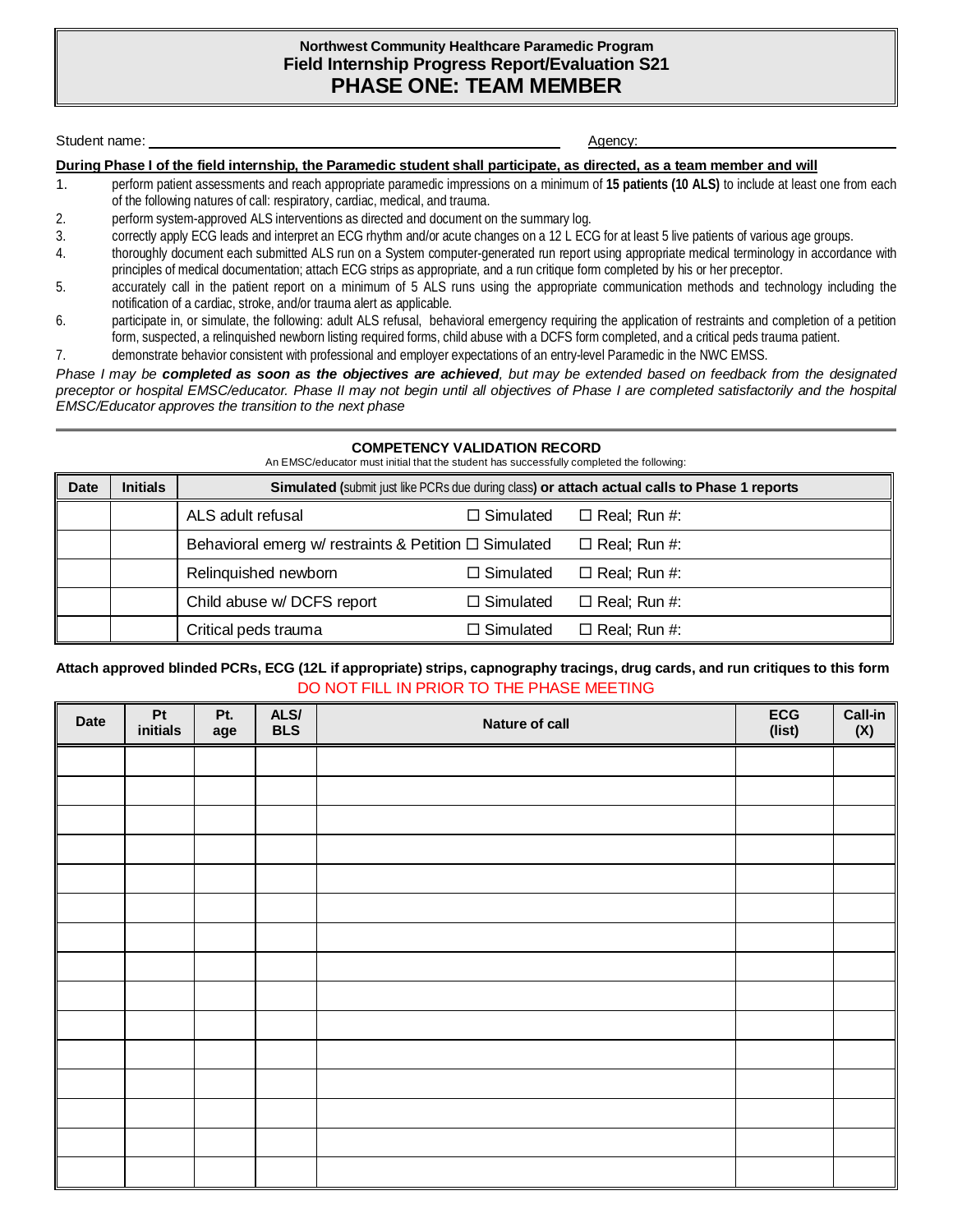### **Northwest Community Healthcare Paramedic Program Field Internship Progress Report/Evaluation S21 PHASE ONE: TEAM MEMBER**

Student name: Agency:

**During Phase I of the field internship, the Paramedic student shall participate, as directed, as a team member and will**

- 1. perform patient assessments and reach appropriate paramedic impressions on a minimum of **15 patients (10 ALS)** to include at least one from each of the following natures of call: respiratory, cardiac, medical, and trauma.
- 2. perform system-approved ALS interventions as directed and document on the summary log.
- 3. correctly apply ECG leads and interpret an ECG rhythm and/or acute changes on a 12 L ECG for at least 5 live patients of various age groups.
- 4. thoroughly document each submitted ALS run on a System computer-generated run report using appropriate medical terminology in accordance with principles of medical documentation; attach ECG strips as appropriate, and a run critique form completed by his or her preceptor.
- 5. accurately call in the patient report on a minimum of 5 ALS runs using the appropriate communication methods and technology including the notification of a cardiac, stroke, and/or trauma alert as applicable.
- 6. participate in, or simulate, the following: adult ALS refusal, behavioral emergency requiring the application of restraints and completion of a petition form, suspected, a relinquished newborn listing required forms, child abuse with a DCFS form completed, and a critical peds trauma patient.
- 7. demonstrate behavior consistent with professional and employer expectations of an entry-level Paramedic in the NWC EMSS.

*Phase I may be completed as soon as the objectives are achieved, but may be extended based on feedback from the designated preceptor or hospital EMSC/educator. Phase II may not begin until all objectives of Phase I are completed satisfactorily and the hospital EMSC/Educator approves the transition to the next phase*

#### **COMPETENCY VALIDATION RECORD**

An EMSC/educator must initial that the student has successfully completed the following:

| <b>Date</b> | <b>Initials</b> | Simulated (submit just like PCRs due during class) or attach actual calls to Phase 1 reports |                  |                     |  |  |
|-------------|-----------------|----------------------------------------------------------------------------------------------|------------------|---------------------|--|--|
|             |                 | ALS adult refusal                                                                            | $\Box$ Simulated | $\Box$ Real; Run #: |  |  |
|             |                 | Behavioral emerg w/ restraints & Petition $\Box$ Simulated                                   |                  | $\Box$ Real; Run #: |  |  |
|             |                 | Relinguished newborn                                                                         | $\Box$ Simulated | $\Box$ Real; Run #: |  |  |
|             |                 | Child abuse w/ DCFS report                                                                   | $\Box$ Simulated | $\Box$ Real; Run #: |  |  |
|             |                 | Critical peds trauma                                                                         | $\Box$ Simulated | $\Box$ Real; Run #: |  |  |

## **Attach approved blinded PCRs, ECG (12L if appropriate) strips, capnography tracings, drug cards, and run critiques to this form** DO NOT FILL IN PRIOR TO THE PHASE MEETING

| <b>Date</b> | Pt<br>initials | Pt.<br>age | ALS/<br>BLS | <b>Nature of call</b> | ECG<br>(list) | $\frac{Call-in}{(X)}$ |
|-------------|----------------|------------|-------------|-----------------------|---------------|-----------------------|
|             |                |            |             |                       |               |                       |
|             |                |            |             |                       |               |                       |
|             |                |            |             |                       |               |                       |
|             |                |            |             |                       |               |                       |
|             |                |            |             |                       |               |                       |
|             |                |            |             |                       |               |                       |
|             |                |            |             |                       |               |                       |
|             |                |            |             |                       |               |                       |
|             |                |            |             |                       |               |                       |
|             |                |            |             |                       |               |                       |
|             |                |            |             |                       |               |                       |
|             |                |            |             |                       |               |                       |
|             |                |            |             |                       |               |                       |
|             |                |            |             |                       |               |                       |
|             |                |            |             |                       |               |                       |